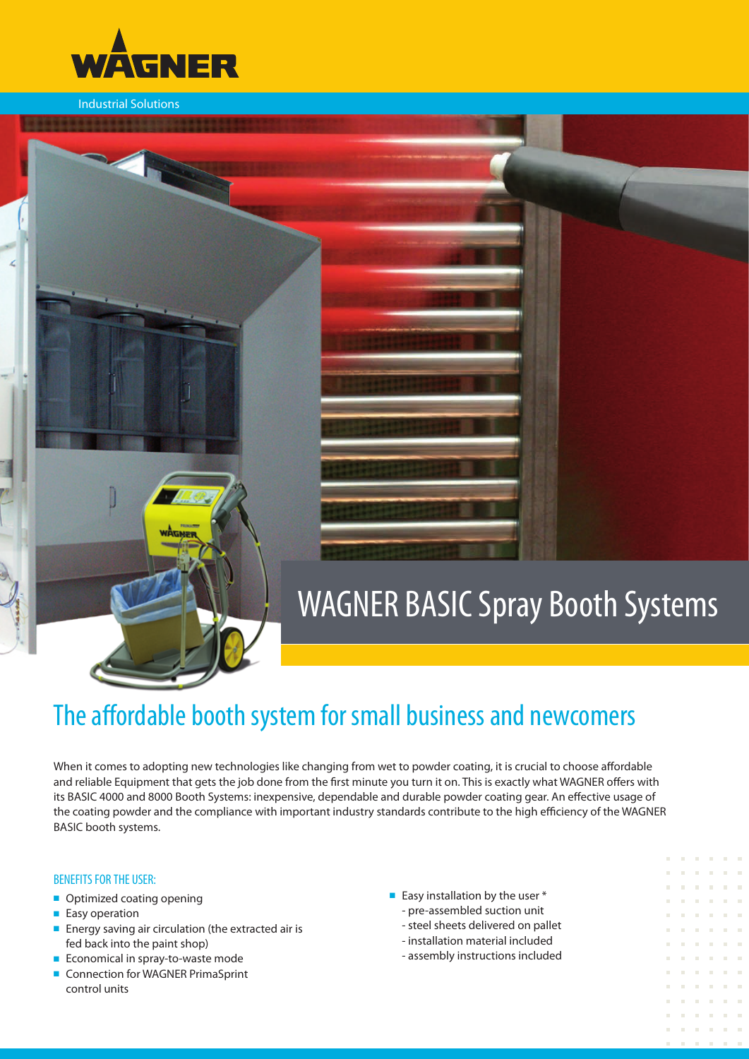

Industrial Solutions

# WAGNER BASIC Spray Booth Systems

# The affordable booth system for small business and newcomers

When it comes to adopting new technologies like changing from wet to powder coating, it is crucial to choose affordable and reliable Equipment that gets the job done from the first minute you turn it on. This is exactly what WAGNER offers with its BASIC 4000 and 8000 Booth Systems: inexpensive, dependable and durable powder coating gear. An effective usage of the coating powder and the compliance with important industry standards contribute to the high efficiency of the WAGNER BASIC booth systems.

#### BENEFITS FOR THE USER:

- Optimized coating opening
- Easy operation
- Energy saving air circulation (the extracted air is fed back into the paint shop)
- Economical in spray-to-waste mode
- Connection for WAGNER PrimaSprint control units
- Easy installation by the user  $*$ 
	- pre-assembled suction unit
	- steel sheets delivered on pallet
	- installation material included
	- assembly instructions included